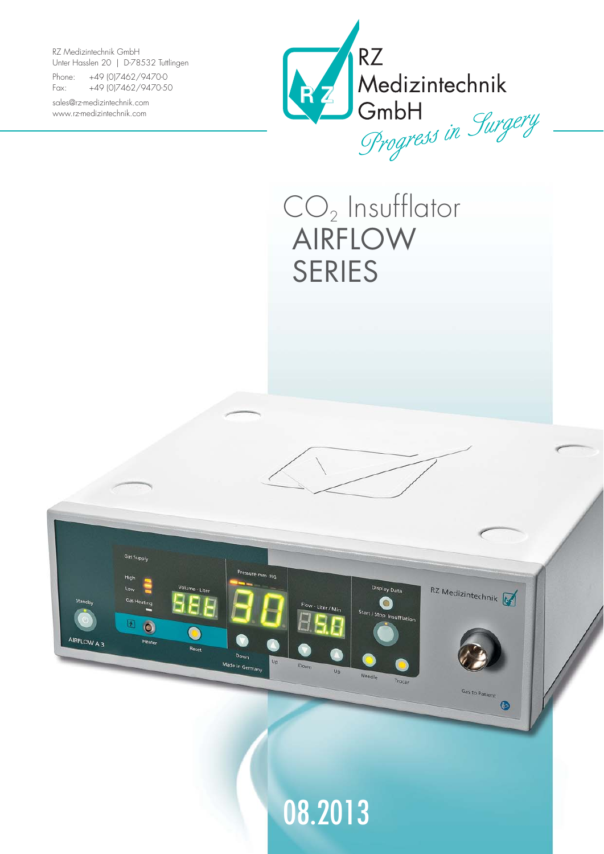RZ Medizintechnik GmbH Unter Hasslen 20 | D-78532 Tuttlingen

Phone: +49 (0)7462/9470-0 Fax: +49 (0)7462/9470-50

sales@rz-medizintechnik.com www.rz-medizintechnik.com



## $CO<sub>2</sub>$  Insufflator AIRFLOW SERIES



08.2013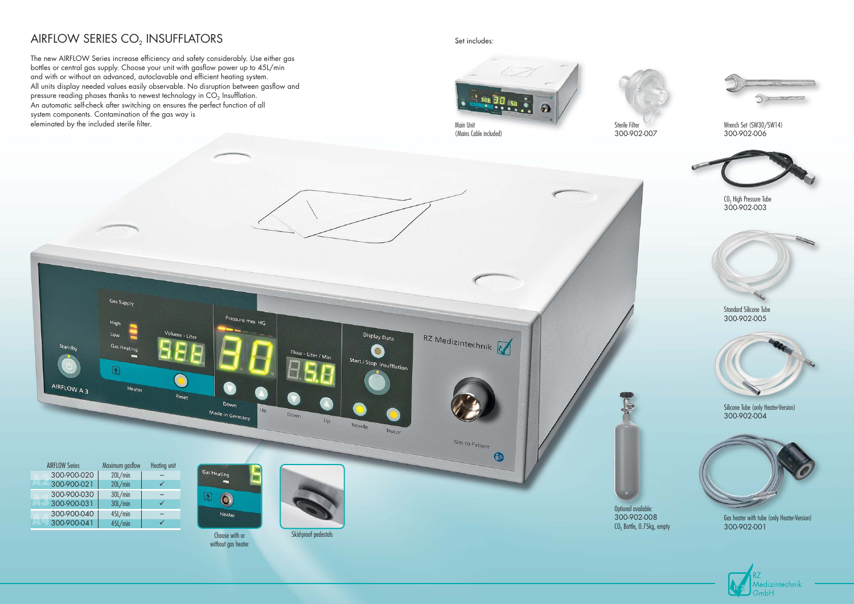## AIRFLOW SERIES CO<sub>2</sub> INSUFFLATORS Set includes:

The new AIRFLOW Series increase efficiency and safety considerably. Use either gas bottles or central gas supply. Choose your unit with gasflow power up to 45L/min and with or without an advanced, autoclavable and efficient heating system. All units display needed values easily observable. No disruption between gasflow and pressure reading phases thanks to newest technology in  $CO<sub>2</sub>$  Insufflation. An automatic self-check after switching on ensures the perfect function of all system components. Contamination of the gas way is eleminated by the included sterile filter.





300-902-007

Wrench Set (SW30/SW14) 300-902-006

CO<sub>2</sub> High Pressure Tube

300-902-003

Standard Silicone Tube 300-902-005





Silicone Tube (only Heater-Version) 300-902-004



Gas heater with tube (only Heater-Version) 300-902-001